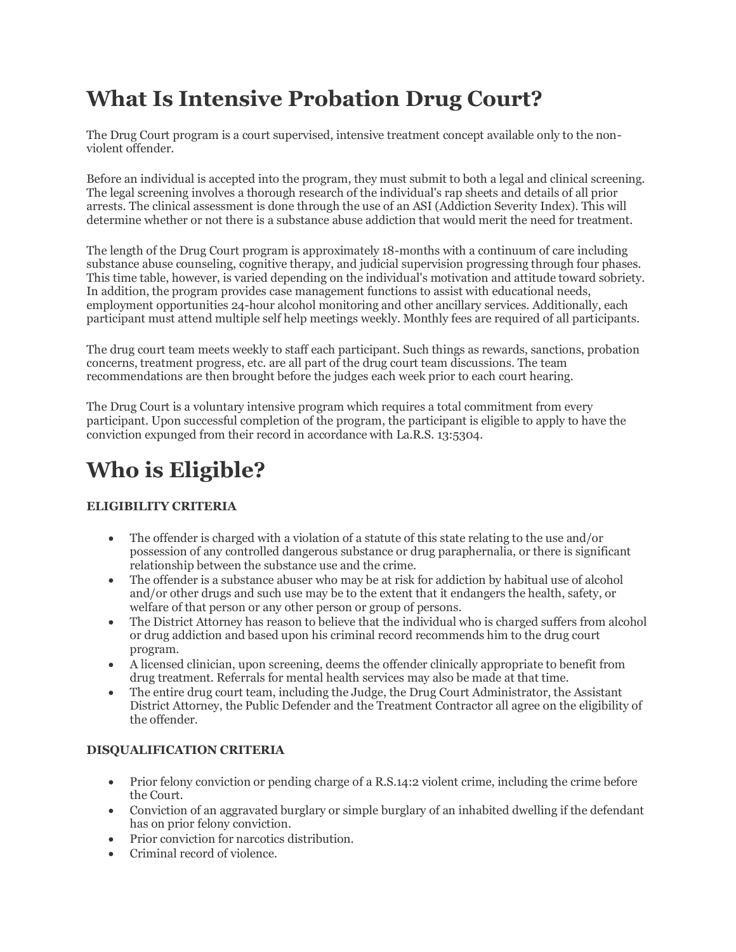## **What Is Intensive Probation Drug Court?**

The Drug Court program is a court supervised, intensive treatment concept available only to the nonviolent offender.

Before an individual is accepted into the program, they must submit to both a legal and clinical screening. The legal screening involves a thorough research of the individual's rap sheets and details of all prior arrests. The clinical assessment is done through the use of an ASI (Addiction Severity Index). This will determine whether or not there is a substance abuse addiction that would merit the need for treatment.

The length of the Drug Court program is approximately 18-months with a continuum of care including substance abuse counseling, cognitive therapy, and judicial supervision progressing through four phases. This time table, however, is varied depending on the individual's motivation and attitude toward sobriety. In addition, the program provides case management functions to assist with educational needs, employment opportunities 24-hour alcohol monitoring and other ancillary services. Additionally, each participant must attend multiple self help meetings weekly. Monthly fees are required of all participants.

The drug court team meets weekly to staff each participant. Such things as rewards, sanctions, probation concerns, treatment progress, etc. are all part of the drug court team discussions. The team recommendations are then brought before the judges each week prior to each court hearing.

The Drug Court is a voluntary intensive program which requires a total commitment from every participant. Upon successful completion of the program, the participant is eligible to apply to have the conviction expunged from their record in accordance with La.R.S. 13:5304.

# **Who is Eligible?**

#### **ELIGIBILITY CRITERIA**

- The offender is charged with a violation of a statute of this state relating to the use and/or possession of any controlled dangerous substance or drug paraphernalia, or there is significant relationship between the substance use and the crime.
- The offender is a substance abuser who may be at risk for addiction by habitual use of alcohol and/or other drugs and such use may be to the extent that it endangers the health, safety, or welfare of that person or any other person or group of persons.
- The District Attorney has reason to believe that the individual who is charged suffers from alcohol or drug addiction and based upon his criminal record recommends him to the drug court program.
- A licensed clinician, upon screening, deems the offender clinically appropriate to benefit from drug treatment. Referrals for mental health services may also be made at that time.
- The entire drug court team, including the Judge, the Drug Court Administrator, the Assistant District Attorney, the Public Defender and the Treatment Contractor all agree on the eligibility of the offender.

#### **DISQUALIFICATION CRITERIA**

- Prior felony conviction or pending charge of a R.S.14:2 violent crime, including the crime before the Court.
- Conviction of an aggravated burglary or simple burglary of an inhabited dwelling if the defendant has on prior felony conviction.
- Prior conviction for narcotics distribution.
- Criminal record of violence.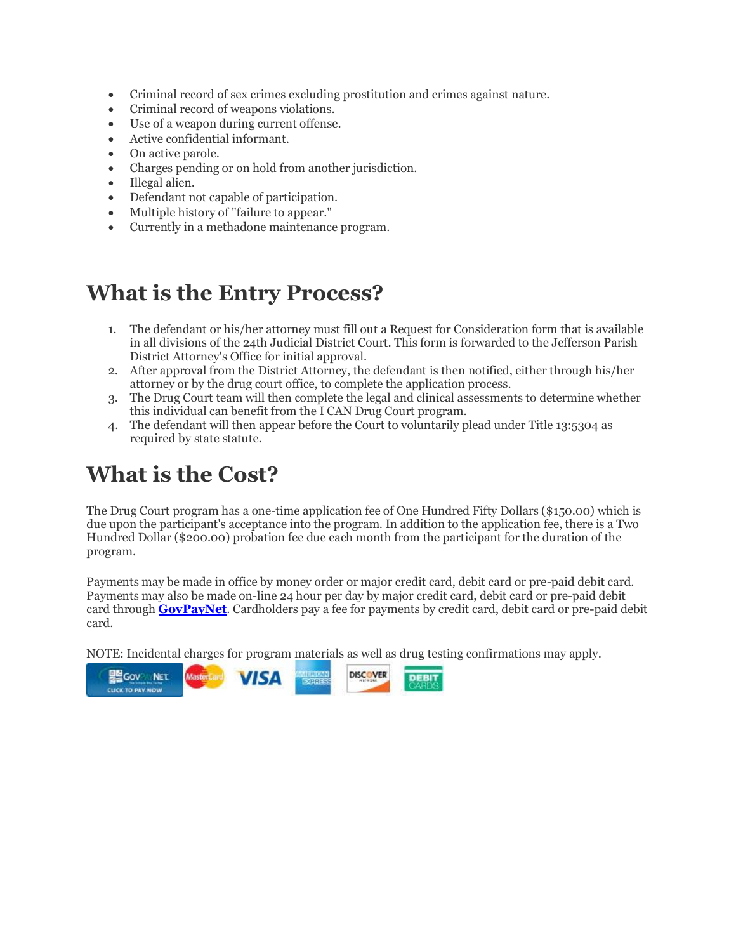- Criminal record of sex crimes excluding prostitution and crimes against nature.
- Criminal record of weapons violations.
- Use of a weapon during current offense.
- Active confidential informant.
- On active parole.
- Charges pending or on hold from another jurisdiction.
- Illegal alien.
- Defendant not capable of participation.
- Multiple history of "failure to appear."
- Currently in a methadone maintenance program.

### **What is the Entry Process?**

- 1. The defendant or his/her attorney must fill out a Request for Consideration form that is available in all divisions of the 24th Judicial District Court. This form is forwarded to the Jefferson Parish District Attorney's Office for initial approval.
- 2. After approval from the District Attorney, the defendant is then notified, either through his/her attorney or by the drug court office, to complete the application process.
- 3. The Drug Court team will then complete the legal and clinical assessments to determine whether this individual can benefit from the I CAN Drug Court program.
- 4. The defendant will then appear before the Court to voluntarily plead under Title 13:5304 as required by state statute.

## **What is the Cost?**

The Drug Court program has a one-time application fee of One Hundred Fifty Dollars (\$150.00) which is due upon the participant's acceptance into the program. In addition to the application fee, there is a Two Hundred Dollar (\$200.00) probation fee due each month from the participant for the duration of the program.

Payments may be made in office by money order or major credit card, debit card or pre-paid debit card. Payments may also be made on-line 24 hour per day by major credit card, debit card or pre-paid debit card through **[GovPayNet](https://www.govpaynow.com/gps/user/plc/7327)**. Cardholders pay a fee for payments by credit card, debit card or pre-paid debit card.

NOTE: Incidental charges for program materials as well as drug testing confirmations may apply.